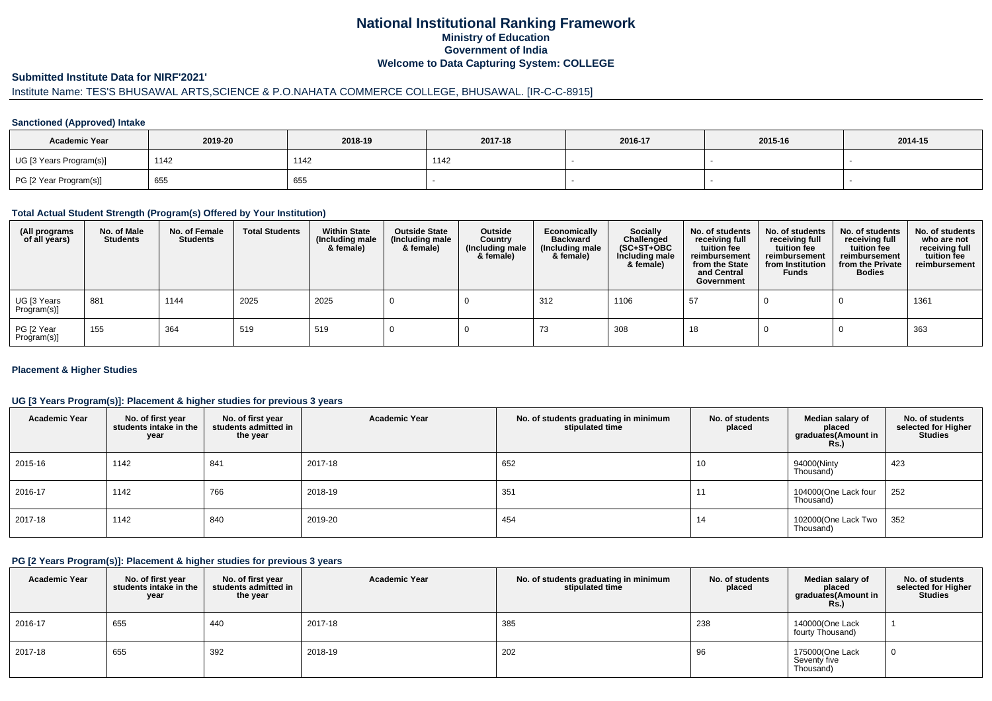# **National Institutional Ranking FrameworkMinistry of Education Government of IndiaWelcome to Data Capturing System: COLLEGE**

#### **Submitted Institute Data for NIRF'2021'**

# Institute Name: TES'S BHUSAWAL ARTS,SCIENCE & P.O.NAHATA COMMERCE COLLEGE, BHUSAWAL. [IR-C-C-8915]

### **Sanctioned (Approved) Intake**

| <b>Academic Year</b>    | 2019-20 | 2018-19 | 2017-18 | 2016-17 | 2015-16 | 2014-15 |
|-------------------------|---------|---------|---------|---------|---------|---------|
| UG [3 Years Program(s)] | 1142    | 1142    | 1142    |         |         |         |
| PG [2 Year Program(s)]  | 655     | 655     |         |         |         |         |

### **Total Actual Student Strength (Program(s) Offered by Your Institution)**

| (All programs<br>of all years) | No. of Male<br><b>Students</b> | No. of Female<br><b>Students</b> | <b>Total Students</b> | <b>Within State</b><br>(Including male<br>& female) | <b>Outside State</b><br>(Including male<br>& female) | Outside<br>Country<br>(Including male<br>& female) | Economically<br><b>Backward</b><br>(Including male<br>& female) | <b>Socially</b><br>Challenged<br>$(SC+ST+OBC)$<br>Including male<br>& female) | No. of students<br>receiving full<br>tuition fee<br>reimbursement<br>from the State<br>and Central<br>Government | No. of students<br>receiving full<br>tuition fee<br>reimbursement<br>from Institution<br><b>Funds</b> | No. of students<br>receiving full<br>tuition fee<br>reimbursement<br>from the Private<br><b>Bodies</b> | No. of students<br>who are not<br>receiving full<br>tuition fee<br>reimbursement |
|--------------------------------|--------------------------------|----------------------------------|-----------------------|-----------------------------------------------------|------------------------------------------------------|----------------------------------------------------|-----------------------------------------------------------------|-------------------------------------------------------------------------------|------------------------------------------------------------------------------------------------------------------|-------------------------------------------------------------------------------------------------------|--------------------------------------------------------------------------------------------------------|----------------------------------------------------------------------------------|
| UG [3 Years<br>Program(s)]     | 881                            | 1144                             | 2025                  | 2025                                                |                                                      |                                                    | 312                                                             | 1106                                                                          | 57                                                                                                               |                                                                                                       |                                                                                                        | 1361                                                                             |
| PG [2 Year<br>Program(s)]      | 155                            | 364                              | 519                   | 519                                                 |                                                      |                                                    | 73                                                              | 308                                                                           | 18                                                                                                               |                                                                                                       |                                                                                                        | 363                                                                              |

### **Placement & Higher Studies**

### **UG [3 Years Program(s)]: Placement & higher studies for previous 3 years**

| <b>Academic Year</b> | No. of first year<br>students intake in the<br>year | No. of first year<br>students admitted in<br>the year | <b>Academic Year</b> | No. of students graduating in minimum<br>stipulated time | No. of students<br>placed | Median salary of<br>placed<br>graduates(Amount in<br><b>Rs.)</b> | No. of students<br>selected for Higher<br><b>Studies</b> |
|----------------------|-----------------------------------------------------|-------------------------------------------------------|----------------------|----------------------------------------------------------|---------------------------|------------------------------------------------------------------|----------------------------------------------------------|
| 2015-16              | 1142                                                | 841                                                   | 2017-18              | 652                                                      | 10                        | 94000(Ninty<br>Thousand)                                         | 423                                                      |
| 2016-17              | 1142                                                | 766                                                   | 2018-19              | 351                                                      | 11                        | 104000(One Lack four<br>Thousand)                                | 252                                                      |
| 2017-18              | 1142                                                | 840                                                   | 2019-20              | 454                                                      | 14                        | 102000(One Lack Two<br>Thousand)                                 | 352                                                      |

#### **PG [2 Years Program(s)]: Placement & higher studies for previous 3 years**

| <b>Academic Year</b> | No. of first year<br>students intake in the<br>year | No. of first vear<br>students admitted in<br>the year | <b>Academic Year</b> | No. of students graduating in minimum<br>stipulated time | No. of students<br>placed | Median salary of<br>placed<br>graduates(Amount in<br><b>Rs.)</b> | No. of students<br>selected for Higher<br><b>Studies</b> |
|----------------------|-----------------------------------------------------|-------------------------------------------------------|----------------------|----------------------------------------------------------|---------------------------|------------------------------------------------------------------|----------------------------------------------------------|
| 2016-17              | 655                                                 | 440                                                   | 2017-18              | 385                                                      | 238                       | 140000(One Lack<br>fourty Thousand)                              |                                                          |
| 2017-18              | 655                                                 | 392                                                   | 2018-19              | 202                                                      | 96                        | 175000(One Lack<br>Seventy five<br>Thousand)                     | 0                                                        |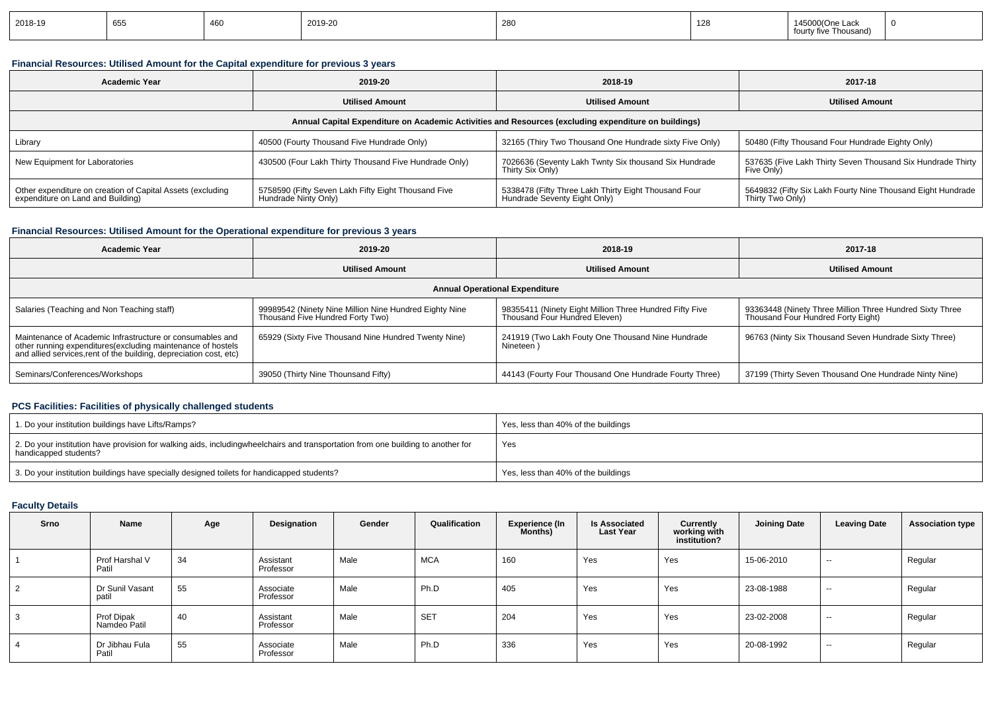| 2018-19 | 655 | 460 | 2019-20 | 280 | 128 | Thousand)<br>ourt |  |
|---------|-----|-----|---------|-----|-----|-------------------|--|
|---------|-----|-----|---------|-----|-----|-------------------|--|

### **Financial Resources: Utilised Amount for the Capital expenditure for previous 3 years**

| <b>Academic Year</b>                                                                            | 2019-20                                                                     | 2018-19                                                                                              | 2017-18                                                                         |
|-------------------------------------------------------------------------------------------------|-----------------------------------------------------------------------------|------------------------------------------------------------------------------------------------------|---------------------------------------------------------------------------------|
|                                                                                                 | <b>Utilised Amount</b>                                                      | <b>Utilised Amount</b>                                                                               | <b>Utilised Amount</b>                                                          |
|                                                                                                 |                                                                             | Annual Capital Expenditure on Academic Activities and Resources (excluding expenditure on buildings) |                                                                                 |
| Library                                                                                         | 40500 (Fourty Thousand Five Hundrade Only)                                  | 32165 (Thiry Two Thousand One Hundrade sixty Five Only)                                              | 50480 (Fifty Thousand Four Hundrade Eighty Only)                                |
| New Equipment for Laboratories                                                                  | 430500 (Four Lakh Thirty Thousand Five Hundrade Only)                       | 7026636 (Seventy Lakh Twnty Six thousand Six Hundrade<br>Thirty Six Only)                            | 537635 (Five Lakh Thirty Seven Thousand Six Hundrade Thirty  <br>Five Only)     |
| Other expenditure on creation of Capital Assets (excluding<br>expenditure on Land and Building) | 5758590 (Fifty Seven Lakh Fifty Eight Thousand Five<br>Hundrade Ninty Only) | 5338478 (Fifty Three Lakh Thirty Eight Thousand Four<br>Hundrade Seventy Eight Only)                 | 5649832 (Fifty Six Lakh Fourty Nine Thousand Eight Hundrade<br>Thirty Two Only) |

### **Financial Resources: Utilised Amount for the Operational expenditure for previous 3 years**

| <b>Academic Year</b>                                                                                                                                                                            | 2019-20                                                                                    | 2018-19                                                                                  | 2017-18                                                                                        |  |  |
|-------------------------------------------------------------------------------------------------------------------------------------------------------------------------------------------------|--------------------------------------------------------------------------------------------|------------------------------------------------------------------------------------------|------------------------------------------------------------------------------------------------|--|--|
|                                                                                                                                                                                                 | <b>Utilised Amount</b>                                                                     | <b>Utilised Amount</b>                                                                   | <b>Utilised Amount</b>                                                                         |  |  |
|                                                                                                                                                                                                 |                                                                                            | <b>Annual Operational Expenditure</b>                                                    |                                                                                                |  |  |
| Salaries (Teaching and Non Teaching staff)                                                                                                                                                      | 99989542 (Ninety Nine Million Nine Hundred Eighty Nine<br>Thousand Five Hundred Forty Two) | 98355411 (Ninety Eight Million Three Hundred Fifty Five<br>Thousand Four Hundred Eleven) | 93363448 (Ninety Three Million Three Hundred Sixty Three<br>Thousand Four Hundred Forty Eight) |  |  |
| Maintenance of Academic Infrastructure or consumables and<br>other running expenditures (excluding maintenance of hostels<br>and allied services, rent of the building, depreciation cost, etc) | 65929 (Sixty Five Thousand Nine Hundred Twenty Nine)                                       | 241919 (Two Lakh Fouty One Thousand Nine Hundrade<br>Nineteen)                           | 96763 (Ninty Six Thousand Seven Hundrade Sixty Three)                                          |  |  |
| Seminars/Conferences/Workshops                                                                                                                                                                  | 39050 (Thirty Nine Thounsand Fifty)                                                        | 44143 (Fourty Four Thousand One Hundrade Fourty Three)                                   | 37199 (Thirty Seven Thousand One Hundrade Ninty Nine)                                          |  |  |

### **PCS Facilities: Facilities of physically challenged students**

| 1. Do your institution buildings have Lifts/Ramps?                                                                                                        | Yes, less than 40% of the buildings |
|-----------------------------------------------------------------------------------------------------------------------------------------------------------|-------------------------------------|
| 2. Do your institution have provision for walking aids, includingwheelchairs and transportation from one building to another for<br>handicapped students? | Yes                                 |
| 3. Do your institution buildings have specially designed toilets for handicapped students?                                                                | Yes, less than 40% of the buildings |

### **Faculty Details**

| Srno | Name                       | Age | Designation            | Gender | Qualification | <b>Experience (In</b><br>Months) | <b>Is Associated</b><br><b>Last Year</b> | Currently<br>working with<br>institution? | <b>Joining Date</b> | <b>Leaving Date</b>      | <b>Association type</b> |
|------|----------------------------|-----|------------------------|--------|---------------|----------------------------------|------------------------------------------|-------------------------------------------|---------------------|--------------------------|-------------------------|
|      | Prof Harshal V<br>Patil    | 34  | Assistant<br>Professor | Male   | <b>MCA</b>    | 160                              | Yes                                      | Yes                                       | 15-06-2010          | $\sim$                   | Regular                 |
|      | Dr Sunil Vasant<br>patil   | 55  | Associate<br>Professor | Male   | Ph.D          | 405                              | Yes                                      | Yes                                       | 23-08-1988          | $\sim$                   | Regular                 |
|      | Prof Dipak<br>Namdeo Patil | 40  | Assistant<br>Professor | Male   | <b>SET</b>    | 204                              | Yes                                      | Yes                                       | 23-02-2008          | $\overline{\phantom{a}}$ | Regular                 |
|      | Dr Jibhau Fula<br>Patil    | 55  | Associate<br>Professor | Male   | Ph.D          | 336                              | Yes                                      | Yes                                       | 20-08-1992          | $\overline{\phantom{a}}$ | Regular                 |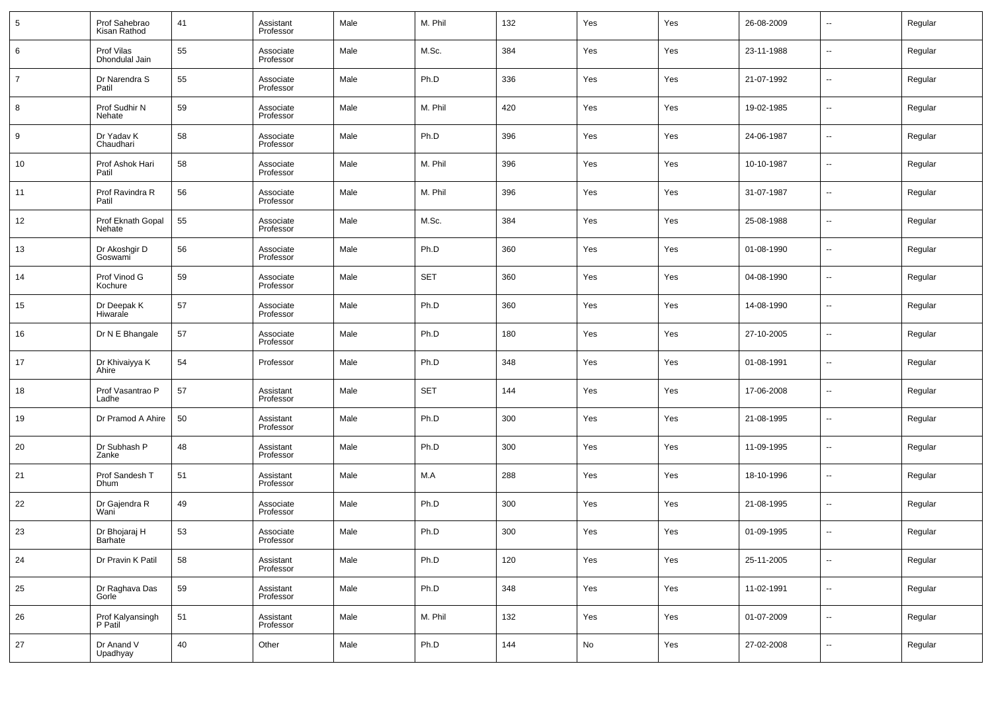| 5              | Prof Sahebrao<br>Kisan Rathod        | 41 | Assistant<br>Professor | Male | M. Phil    | 132 | Yes        | Yes | 26-08-2009 | ٠.                       | Regular |
|----------------|--------------------------------------|----|------------------------|------|------------|-----|------------|-----|------------|--------------------------|---------|
| 6              | Prof Vilas<br>Dhondulal Jain         | 55 | Associate<br>Professor | Male | M.Sc.      | 384 | Yes        | Yes | 23-11-1988 | $\sim$                   | Regular |
| $\overline{7}$ | Dr Narendra S<br>Patil               | 55 | Associate<br>Professor | Male | Ph.D       | 336 | Yes        | Yes | 21-07-1992 | $\sim$                   | Regular |
| 8              | Prof Sudhir N<br>Nehate              | 59 | Associate<br>Professor | Male | M. Phil    | 420 | Yes        | Yes | 19-02-1985 | $\sim$                   | Regular |
| 9              | Dr Yadav K<br>Chaudhari              | 58 | Associate<br>Professor | Male | Ph.D       | 396 | Yes        | Yes | 24-06-1987 | $\overline{\phantom{a}}$ | Regular |
| 10             | Prof Ashok Hari<br>Patil             | 58 | Associate<br>Professor | Male | M. Phil    | 396 | Yes        | Yes | 10-10-1987 | $\sim$                   | Regular |
| 11             | Prof Ravindra R<br>Patil             | 56 | Associate<br>Professor | Male | M. Phil    | 396 | Yes        | Yes | 31-07-1987 | $\sim$                   | Regular |
| 12             | Prof Eknath Gopal<br>Nehate          | 55 | Associate<br>Professor | Male | M.Sc.      | 384 | Yes        | Yes | 25-08-1988 | $\overline{\phantom{a}}$ | Regular |
| 13             | Dr Akoshgir D<br>Goswami             | 56 | Associate<br>Professor | Male | Ph.D       | 360 | Yes        | Yes | 01-08-1990 | $\sim$                   | Regular |
| 14             | Prof Vinod G<br>Kochure              | 59 | Associate<br>Professor | Male | <b>SET</b> | 360 | Yes        | Yes | 04-08-1990 | $\overline{\phantom{a}}$ | Regular |
| 15             | Dr Deepak K<br>Hiwarale              | 57 | Associate<br>Professor | Male | Ph.D       | 360 | Yes        | Yes | 14-08-1990 | $\sim$                   | Regular |
| 16             | Dr N E Bhangale                      | 57 | Associate<br>Professor | Male | Ph.D       | 180 | Yes        | Yes | 27-10-2005 | $\overline{\phantom{a}}$ | Regular |
| 17             | Dr Khivaiyya K<br>Ahire              | 54 | Professor              | Male | Ph.D       | 348 | Yes        | Yes | 01-08-1991 | $\sim$                   | Regular |
| 18             | Prof Vasantrao P<br>Ladhe            | 57 | Assistant<br>Professor | Male | <b>SET</b> | 144 | Yes        | Yes | 17-06-2008 | $\sim$                   | Regular |
| 19             | Dr Pramod A Ahire                    | 50 | Assistant<br>Professor | Male | Ph.D       | 300 | Yes        | Yes | 21-08-1995 | $\overline{\phantom{a}}$ | Regular |
| 20             | Dr Subhash P<br>Zanke                | 48 | Assistant<br>Professor | Male | Ph.D       | 300 | Yes        | Yes | 11-09-1995 | $\sim$                   | Regular |
| 21             | Prof Sandesh T<br>Dhum               | 51 | Assistant<br>Professor | Male | M.A        | 288 | Yes        | Yes | 18-10-1996 | $\overline{\phantom{a}}$ | Regular |
| 22             | Dr Gajendra R<br>Wani                | 49 | Associate<br>Professor | Male | Ph.D       | 300 | Yes        | Yes | 21-08-1995 | $\sim$                   | Regular |
| 23             | Dr Bhojaraj H<br>Barhate             | 53 | Associate<br>Professor | Male | Ph.D       | 300 | Yes        | Yes | 01-09-1995 | $\overline{\phantom{a}}$ | Regular |
| 24             | Dr Pravin K Patil                    | 58 | Assistant<br>Professor | Male | Ph.D       | 120 | Yes        | Yes | 25-11-2005 | $\sim$                   | Regular |
| 25             | Dr Raghava Das<br>Gorle <sup>7</sup> | 59 | Assistant<br>Professor | Male | Ph.D       | 348 | Yes        | Yes | 11-02-1991 | $\sim$                   | Regular |
| 26             | Prof Kalyansingh<br>P Patil          | 51 | Assistant<br>Professor | Male | M. Phil    | 132 | Yes        | Yes | 01-07-2009 | $\sim$                   | Regular |
| 27             | Dr Anand V<br>Upadhyay               | 40 | Other                  | Male | Ph.D       | 144 | ${\sf No}$ | Yes | 27-02-2008 | $\sim$                   | Regular |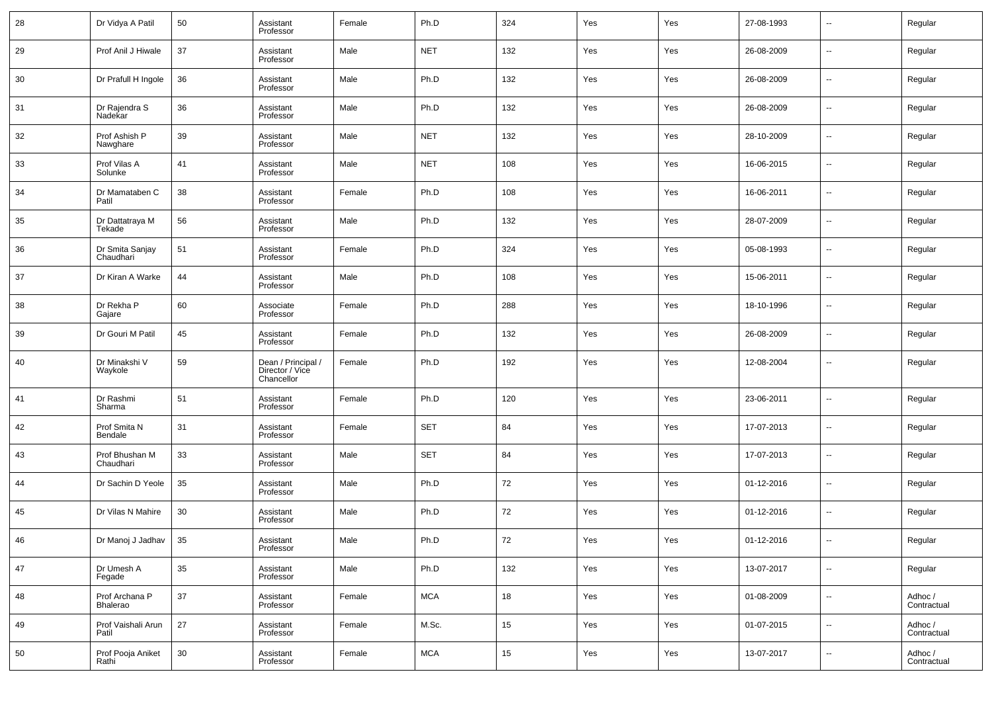| 28 | Dr Vidya A Patil             | 50 | Assistant<br>Professor                              | Female | Ph.D       | 324    | Yes | Yes | 27-08-1993 | $\sim$                   | Regular                |
|----|------------------------------|----|-----------------------------------------------------|--------|------------|--------|-----|-----|------------|--------------------------|------------------------|
| 29 | Prof Anil J Hiwale           | 37 | Assistant<br>Professor                              | Male   | <b>NET</b> | 132    | Yes | Yes | 26-08-2009 | ш,                       | Regular                |
| 30 | Dr Prafull H Ingole          | 36 | Assistant<br>Professor                              | Male   | Ph.D       | 132    | Yes | Yes | 26-08-2009 | $\sim$                   | Regular                |
| 31 | Dr Rajendra S<br>Nadekar     | 36 | Assistant<br>Professor                              | Male   | Ph.D       | 132    | Yes | Yes | 26-08-2009 | $\sim$                   | Regular                |
| 32 | Prof Ashish P<br>Nawghare    | 39 | Assistant<br>Professor                              | Male   | <b>NET</b> | 132    | Yes | Yes | 28-10-2009 | $\overline{\phantom{a}}$ | Regular                |
| 33 | Prof Vilas A<br>Solunke      | 41 | Assistant<br>Professor                              | Male   | <b>NET</b> | 108    | Yes | Yes | 16-06-2015 | н.                       | Regular                |
| 34 | Dr Mamataben C<br>Patil      | 38 | Assistant<br>Professor                              | Female | Ph.D       | 108    | Yes | Yes | 16-06-2011 | $\overline{\phantom{a}}$ | Regular                |
| 35 | Dr Dattatraya M<br>Tekade    | 56 | Assistant<br>Professor                              | Male   | Ph.D       | 132    | Yes | Yes | 28-07-2009 | н.                       | Regular                |
| 36 | Dr Smita Sanjay<br>Chaudhari | 51 | Assistant<br>Professor                              | Female | Ph.D       | 324    | Yes | Yes | 05-08-1993 | ш,                       | Regular                |
| 37 | Dr Kiran A Warke             | 44 | Assistant<br>Professor                              | Male   | Ph.D       | 108    | Yes | Yes | 15-06-2011 | ш,                       | Regular                |
| 38 | Dr Rekha P<br>Gajare         | 60 | Associate<br>Professor                              | Female | Ph.D       | 288    | Yes | Yes | 18-10-1996 | ш,                       | Regular                |
| 39 | Dr Gouri M Patil             | 45 | Assistant<br>Professor                              | Female | Ph.D       | 132    | Yes | Yes | 26-08-2009 | ш,                       | Regular                |
| 40 | Dr Minakshi V<br>Waykole     | 59 | Dean / Principal /<br>Director / Vice<br>Chancellor | Female | Ph.D       | 192    | Yes | Yes | 12-08-2004 | --                       | Regular                |
| 41 | Dr Rashmi<br>Sharma          | 51 | Assistant<br>Professor                              | Female | Ph.D       | 120    | Yes | Yes | 23-06-2011 | $\overline{a}$           | Regular                |
| 42 | Prof Smita N<br>Bendale      | 31 | Assistant<br>Professor                              | Female | <b>SET</b> | 84     | Yes | Yes | 17-07-2013 | $\overline{\phantom{a}}$ | Regular                |
| 43 | Prof Bhushan M<br>Chaudhari  | 33 | Assistant<br>Professor                              | Male   | <b>SET</b> | 84     | Yes | Yes | 17-07-2013 | $\overline{a}$           | Regular                |
| 44 | Dr Sachin D Yeole            | 35 | Assistant<br>Professor                              | Male   | Ph.D       | 72     | Yes | Yes | 01-12-2016 | $\overline{a}$           | Regular                |
| 45 | Dr Vilas N Mahire            | 30 | Assistant<br>Professor                              | Male   | Ph.D       | 72     | Yes | Yes | 01-12-2016 | ш,                       | Regular                |
| 46 | Dr Manoj J Jadhav            | 35 | Assistant<br>Professor                              | Male   | Ph.D       | $72\,$ | Yes | Yes | 01-12-2016 |                          | Regular                |
| 47 | Dr Umesh A<br>Fegade         | 35 | Assistant<br>Professor                              | Male   | Ph.D       | 132    | Yes | Yes | 13-07-2017 | $\overline{\phantom{a}}$ | Regular                |
| 48 | Prof Archana P<br>Bhalerao   | 37 | Assistant<br>Professor                              | Female | $\sf MCA$  | $18\,$ | Yes | Yes | 01-08-2009 | ц.                       | Adhoc /<br>Contractual |
| 49 | Prof Vaishali Arun<br>Patil  | 27 | Assistant<br>Professor                              | Female | M.Sc.      | 15     | Yes | Yes | 01-07-2015 | $\overline{\phantom{a}}$ | Adhoc /<br>Contractual |
| 50 | Prof Pooja Aniket<br>Rathi   | 30 | Assistant<br>Professor                              | Female | <b>MCA</b> | $15\,$ | Yes | Yes | 13-07-2017 | $\overline{\phantom{a}}$ | Adhoc /<br>Contractual |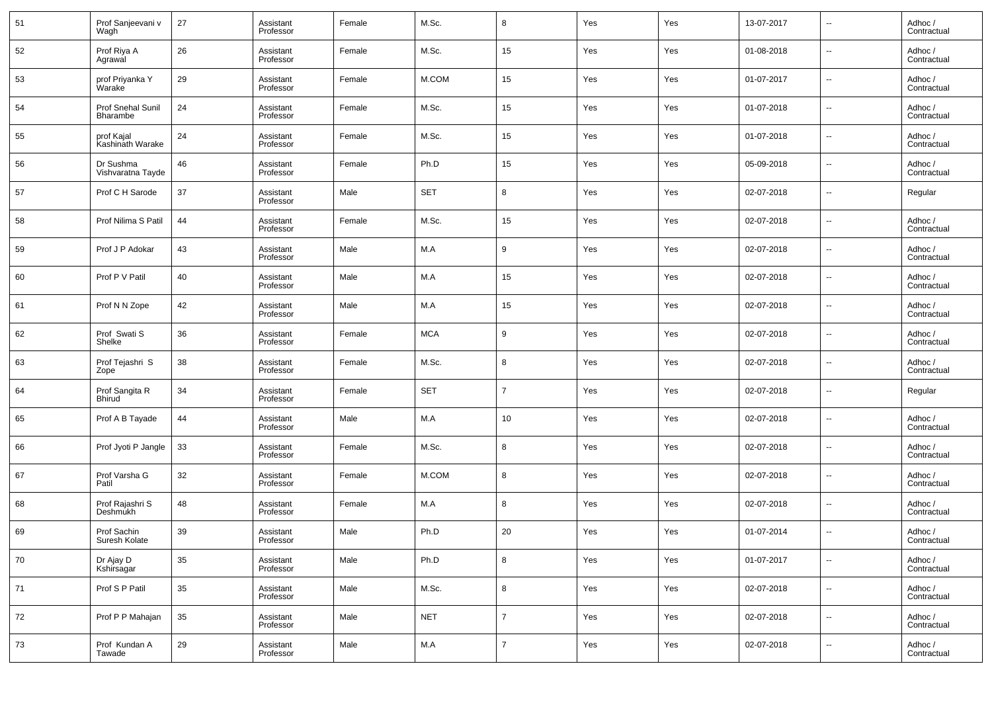| 51 | Prof Sanjeevani v<br>Waqh      | 27 | Assistant<br>Professor | Female | M.Sc.      | 8              | Yes | Yes | 13-07-2017 | $\overline{\phantom{a}}$ | Adhoc /<br>Contractual |
|----|--------------------------------|----|------------------------|--------|------------|----------------|-----|-----|------------|--------------------------|------------------------|
| 52 | Prof Riya A<br>Agrawal         | 26 | Assistant<br>Professor | Female | M.Sc.      | 15             | Yes | Yes | 01-08-2018 | $\overline{\phantom{a}}$ | Adhoc /<br>Contractual |
| 53 | prof Priyanka Y<br>Warake      | 29 | Assistant<br>Professor | Female | M.COM      | 15             | Yes | Yes | 01-07-2017 | ⊶.                       | Adhoc /<br>Contractual |
| 54 | Prof Snehal Sunil<br>Bharambe  | 24 | Assistant<br>Professor | Female | M.Sc.      | 15             | Yes | Yes | 01-07-2018 | $\overline{\phantom{a}}$ | Adhoc /<br>Contractual |
| 55 | prof Kajal<br>Kashinath Warake | 24 | Assistant<br>Professor | Female | M.Sc.      | 15             | Yes | Yes | 01-07-2018 | $\overline{\phantom{a}}$ | Adhoc /<br>Contractual |
| 56 | Dr Sushma<br>Vishvaratna Tayde | 46 | Assistant<br>Professor | Female | Ph.D       | 15             | Yes | Yes | 05-09-2018 | $\overline{\phantom{a}}$ | Adhoc /<br>Contractual |
| 57 | Prof C H Sarode                | 37 | Assistant<br>Professor | Male   | <b>SET</b> | 8              | Yes | Yes | 02-07-2018 | $\overline{\phantom{a}}$ | Regular                |
| 58 | Prof Nilima S Patil            | 44 | Assistant<br>Professor | Female | M.Sc.      | 15             | Yes | Yes | 02-07-2018 | $\overline{\phantom{a}}$ | Adhoc /<br>Contractual |
| 59 | Prof J P Adokar                | 43 | Assistant<br>Professor | Male   | M.A        | 9              | Yes | Yes | 02-07-2018 | $\overline{\phantom{a}}$ | Adhoc /<br>Contractual |
| 60 | Prof P V Patil                 | 40 | Assistant<br>Professor | Male   | M.A        | 15             | Yes | Yes | 02-07-2018 | $\overline{\phantom{a}}$ | Adhoc /<br>Contractual |
| 61 | Prof N N Zope                  | 42 | Assistant<br>Professor | Male   | M.A        | 15             | Yes | Yes | 02-07-2018 | $\overline{\phantom{a}}$ | Adhoc /<br>Contractual |
| 62 | Prof Swati S<br>Shelke         | 36 | Assistant<br>Professor | Female | <b>MCA</b> | 9              | Yes | Yes | 02-07-2018 | $\overline{\phantom{a}}$ | Adhoc /<br>Contractual |
| 63 | Prof Tejashri S<br>Zope        | 38 | Assistant<br>Professor | Female | M.Sc.      | 8              | Yes | Yes | 02-07-2018 | $\overline{\phantom{a}}$ | Adhoc /<br>Contractual |
| 64 | Prof Sangita R<br>Bhirud       | 34 | Assistant<br>Professor | Female | <b>SET</b> | $\overline{7}$ | Yes | Yes | 02-07-2018 | $\overline{\phantom{a}}$ | Regular                |
| 65 | Prof A B Tayade                | 44 | Assistant<br>Professor | Male   | M.A        | 10             | Yes | Yes | 02-07-2018 | $\overline{\phantom{a}}$ | Adhoc /<br>Contractual |
| 66 | Prof Jyoti P Jangle            | 33 | Assistant<br>Professor | Female | M.Sc.      | 8              | Yes | Yes | 02-07-2018 | $\overline{\phantom{a}}$ | Adhoc /<br>Contractual |
| 67 | Prof Varsha G<br>Patil         | 32 | Assistant<br>Professor | Female | M.COM      | 8              | Yes | Yes | 02-07-2018 | $\overline{\phantom{a}}$ | Adhoc /<br>Contractual |
| 68 | Prof Rajashri S<br>Deshmukh    | 48 | Assistant<br>Professor | Female | M.A        | 8              | Yes | Yes | 02-07-2018 | --                       | Adhoc /<br>Contractual |
| 69 | Prof Sachin<br>Suresh Kolate   | 39 | Assistant<br>Professor | Male   | Ph.D       | 20             | Yes | Yes | 01-07-2014 | $\overline{\phantom{a}}$ | Adhoc /<br>Contractual |
| 70 | Dr Ajay D<br>Kshirsagar        | 35 | Assistant<br>Professor | Male   | Ph.D       | 8              | Yes | Yes | 01-07-2017 | $\overline{\phantom{a}}$ | Adhoc /<br>Contractual |
| 71 | Prof S P Patil                 | 35 | Assistant<br>Professor | Male   | M.Sc.      | 8              | Yes | Yes | 02-07-2018 | $\sim$                   | Adhoc /<br>Contractual |
| 72 | Prof P P Mahajan               | 35 | Assistant<br>Professor | Male   | <b>NET</b> | $\overline{7}$ | Yes | Yes | 02-07-2018 | $\overline{\phantom{a}}$ | Adhoc /<br>Contractual |
| 73 | Prof Kundan A<br>Tawade        | 29 | Assistant<br>Professor | Male   | M.A        | $\overline{7}$ | Yes | Yes | 02-07-2018 | $\overline{\phantom{a}}$ | Adhoc /<br>Contractual |